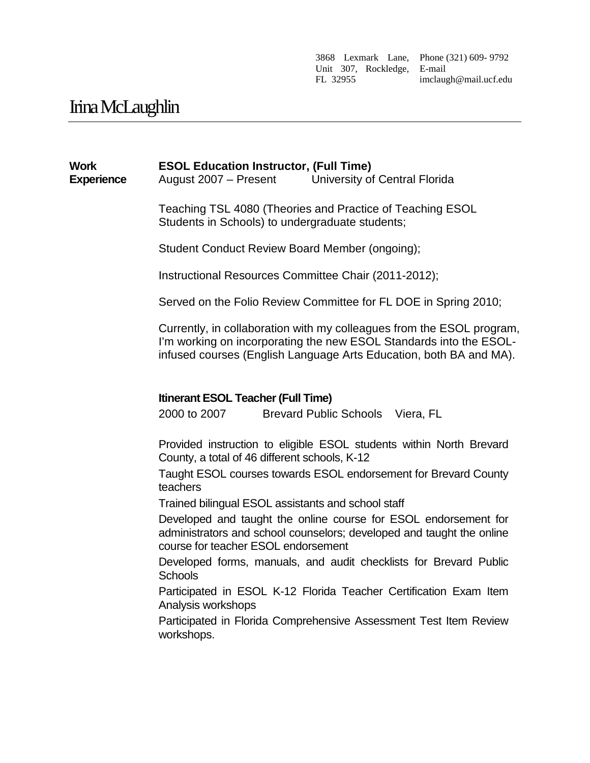3868 Lexmark Lane, Phone (321) 609- 9792 Unit 307, Rockledge, E-mail FL 32955 imclaugh@mail.ucf.edu

# Irina McLaughlin

#### **Work Experience ESOL Education Instructor, (Full Time)** August 2007 – Present University of Central Florida

Teaching TSL 4080 (Theories and Practice of Teaching ESOL Students in Schools) to undergraduate students;

Student Conduct Review Board Member (ongoing);

Instructional Resources Committee Chair (2011-2012);

Served on the Folio Review Committee for FL DOE in Spring 2010;

Currently, in collaboration with my colleagues from the ESOL program, I'm working on incorporating the new ESOL Standards into the ESOLinfused courses (English Language Arts Education, both BA and MA).

#### **Itinerant ESOL Teacher (Full Time)**

2000 to 2007 Brevard Public Schools Viera, FL

Provided instruction to eligible ESOL students within North Brevard County, a total of 46 different schools, K-12

Taught ESOL courses towards ESOL endorsement for Brevard County teachers

Trained bilingual ESOL assistants and school staff

Developed and taught the online course for ESOL endorsement for administrators and school counselors; developed and taught the online course for teacher ESOL endorsement

Developed forms, manuals, and audit checklists for Brevard Public **Schools** 

Participated in ESOL K-12 Florida Teacher Certification Exam Item Analysis workshops

Participated in Florida Comprehensive Assessment Test Item Review workshops.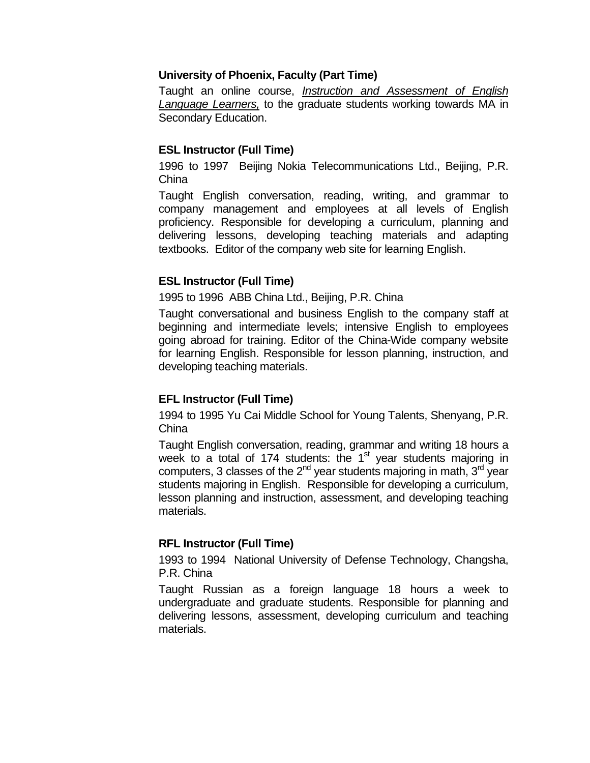#### **University of Phoenix, Faculty (Part Time)**

Taught an online course, *Instruction and Assessment of English Language Learners,* to the graduate students working towards MA in Secondary Education.

#### **ESL Instructor (Full Time)**

1996 to 1997 Beijing Nokia Telecommunications Ltd., Beijing, P.R. China

Taught English conversation, reading, writing, and grammar to company management and employees at all levels of English proficiency. Responsible for developing a curriculum, planning and delivering lessons, developing teaching materials and adapting textbooks. Editor of the company web site for learning English.

#### **ESL Instructor (Full Time)**

1995 to 1996 ABB China Ltd., Beijing, P.R. China

Taught conversational and business English to the company staff at beginning and intermediate levels; intensive English to employees going abroad for training. Editor of the China-Wide company website for learning English. Responsible for lesson planning, instruction, and developing teaching materials.

#### **EFL Instructor (Full Time)**

1994 to 1995 Yu Cai Middle School for Young Talents, Shenyang, P.R. China

Taught English conversation, reading, grammar and writing 18 hours a week to a total of 174 students: the 1<sup>st</sup> year students majoring in computers, 3 classes of the  $2^{nd}$  year students majoring in math,  $3^{rd}$  year students majoring in English. Responsible for developing a curriculum, lesson planning and instruction, assessment, and developing teaching materials.

#### **RFL Instructor (Full Time)**

1993 to 1994 National University of Defense Technology, Changsha, P.R. China

Taught Russian as a foreign language 18 hours a week to undergraduate and graduate students. Responsible for planning and delivering lessons, assessment, developing curriculum and teaching materials.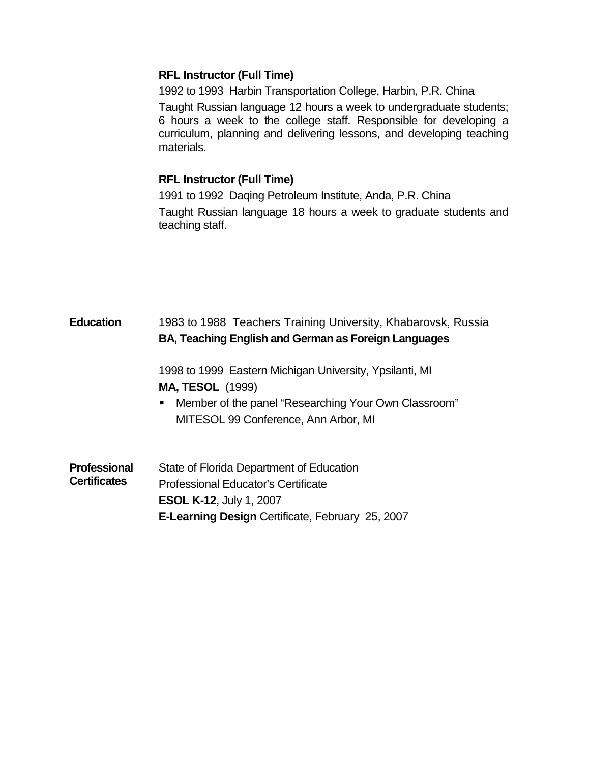## **RFL Instructor (Full Time)**

1992 to 1993 Harbin Transportation College, Harbin, P.R. China Taught Russian language 12 hours a week to undergraduate students; 6 hours a week to the college staff. Responsible for developing a curriculum, planning and delivering lessons, and developing teaching materials.

## **RFL Instructor (Full Time)**

1991 to 1992 Daqing Petroleum Institute, Anda, P.R. China Taught Russian language 18 hours a week to graduate students and teaching staff.

| <b>Education</b>                           | 1983 to 1988 Teachers Training University, Khabarovsk, Russia<br>BA, Teaching English and German as Foreign Languages                                                        |
|--------------------------------------------|------------------------------------------------------------------------------------------------------------------------------------------------------------------------------|
|                                            | 1998 to 1999 Eastern Michigan University, Ypsilanti, MI<br><b>MA, TESOL</b> (1999)                                                                                           |
|                                            | Member of the panel "Researching Your Own Classroom"<br>ш<br>MITESOL 99 Conference, Ann Arbor, MI                                                                            |
| <b>Professional</b><br><b>Certificates</b> | State of Florida Department of Education<br>Professional Educator's Certificate<br><b>ESOL K-12, July 1, 2007</b><br><b>E-Learning Design Certificate, February 25, 2007</b> |